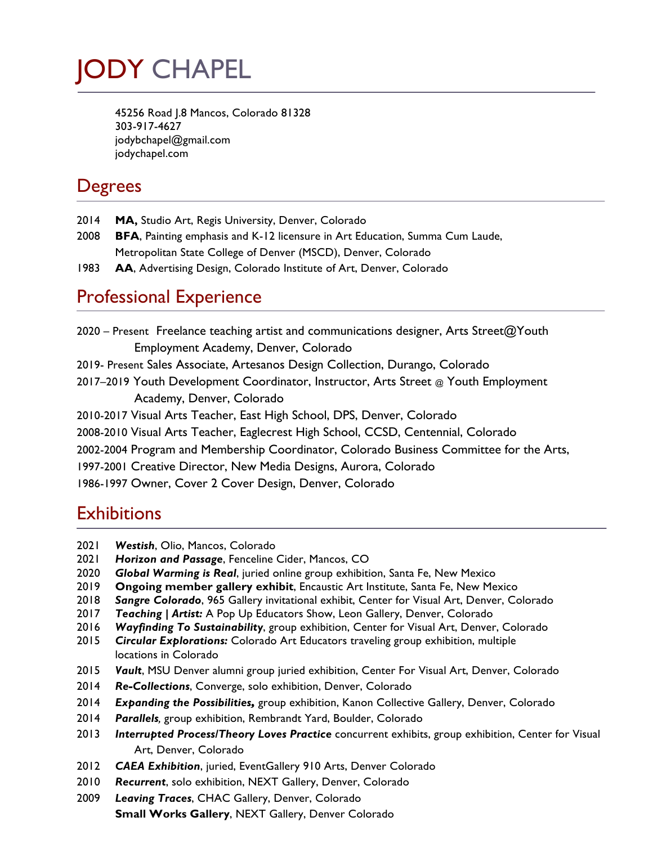# JODY CHAPEL

45256 Road J.8 Mancos, Colorado 81328 303-917-4627 jodybchapel@gmail.com jodychapel.com

## **Degrees**

- 2014 **MA,** Studio Art, Regis University, Denver, Colorado
- 2008 **BFA**, Painting emphasis and K-12 licensure in Art Education, Summa Cum Laude, Metropolitan State College of Denver (MSCD), Denver, Colorado
- 1983 **AA**, Advertising Design, Colorado Institute of Art, Denver, Colorado

## Professional Experience

2020 – PresentFreelance teaching artist and communications designer, Arts Street@Youth Employment Academy, Denver, Colorado 2019- Present Sales Associate, Artesanos Design Collection, Durango, Colorado 2017–2019 Youth Development Coordinator, Instructor, Arts Street @ Youth Employment Academy, Denver, Colorado 2010-2017 Visual Arts Teacher, East High School, DPS, Denver, Colorado 2008-2010 Visual Arts Teacher, Eaglecrest High School, CCSD, Centennial, Colorado

2002-2004 Program and Membership Coordinator, Colorado Business Committee for the Arts,

1997-2001 Creative Director, New Media Designs, Aurora, Colorado

1986-1997 Owner, Cover 2 Cover Design, Denver, Colorado

#### **Exhibitions**

- 2021 *Westish*, Olio, Mancos, Colorado
- 2021 *Horizon and Passage*, Fenceline Cider, Mancos, CO
- 2020 *Global Warming is Real*, juried online group exhibition, Santa Fe, New Mexico
- 2019 **Ongoing member gallery exhibit**, Encaustic Art Institute, Santa Fe, New Mexico
- 2018 *Sangre Colorado*, 965 Gallery invitational exhibit, Center for Visual Art, Denver, Colorado
- 2017 *Teaching | Artist:* A Pop Up Educators Show, Leon Gallery, Denver, Colorado
- 2016 *Wayfinding To Sustainability*, group exhibition, Center for Visual Art, Denver, Colorado
- 2015 *Circular Explorations:* Colorado Art Educators traveling group exhibition, multiple locations in Colorado
- 2015 *Vault*, MSU Denver alumni group juried exhibition, Center For Visual Art, Denver, Colorado
- 2014 *Re-Collections*, Converge, solo exhibition, Denver, Colorado
- 2014 *Expanding the Possibilities,* group exhibition, Kanon Collective Gallery, Denver, Colorado
- 2014 *Parallels,* group exhibition, Rembrandt Yard, Boulder, Colorado
- 2013 *Interrupted Process/Theory Loves Practice* concurrent exhibits, group exhibition, Center for Visual Art, Denver, Colorado
- 2012 *CAEA Exhibition*, juried, EventGallery 910 Arts, Denver Colorado
- 2010 *Recurrent*, solo exhibition, NEXT Gallery, Denver, Colorado
- 2009 *Leaving Traces*, CHAC Gallery, Denver, Colorado **Small Works Gallery**, NEXT Gallery, Denver Colorado